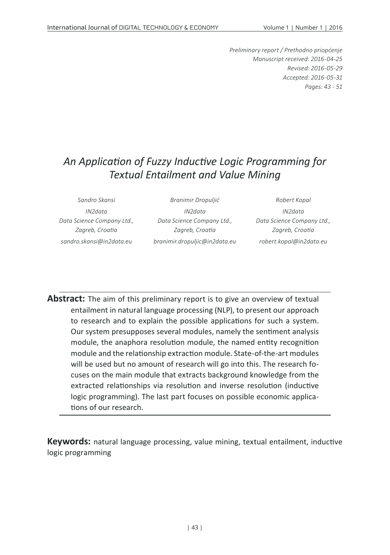*Preliminary report / Prethodno priopćenje Manuscript received: 2016-04-25 Revised: 2016-05-29 Accepted: 2016-05-31 Pages: 43 - 51*

## *An Application of Fuzzy Inductive Logic Programming for Textual Entailment and Value Mining*

| Sandro Skansi              | Branimir Dropuljić            | Robert Kopal               |
|----------------------------|-------------------------------|----------------------------|
| IN <sub>2</sub> data       | IN <sub>2</sub> data          | IN <sub>2</sub> data       |
| Data Science Company Ltd., | Data Science Company Ltd.,    | Data Science Company Ltd., |
| Zagreb, Croatia            | Zagreb, Croatia               | Zagreb, Croatia            |
| sandro.skansi@in2data.eu   | branimir.dropuljic@in2data.eu | robert.kopal@in2data.eu    |

**Abstract:** The aim of this preliminary report is to give an overview of textual entailment in natural language processing (NLP), to present our approach to research and to explain the possible applications for such a system. Our system presupposes several modules, namely the sentiment analysis module, the anaphora resolution module, the named entity recognition module and the relationship extraction module. State-of-the-art modules will be used but no amount of research will go into this. The research focuses on the main module that extracts background knowledge from the extracted relationships via resolution and inverse resolution (inductive logic programming). The last part focuses on possible economic applications of our research.

**Keywords:** natural language processing, value mining, textual entailment, inductive logic programming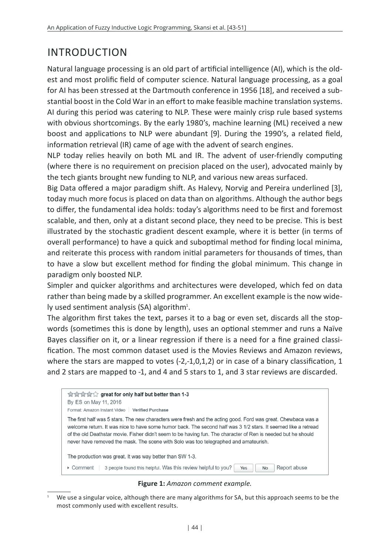## INTRODUCTION

Natural language processing is an old part of artificial intelligence (AI), which is the oldest and most prolific field of computer science. Natural language processing, as a goal for AI has been stressed at the Dartmouth conference in 1956 [18], and received a substantial boost in the Cold War in an effort to make feasible machine translation systems. AI during this period was catering to NLP. These were mainly crisp rule based systems with obvious shortcomings. By the early 1980's, machine learning (ML) received a new boost and applications to NLP were abundant [9]. During the 1990's, a related field, information retrieval (IR) came of age with the advent of search engines.

NLP today relies heavily on both ML and IR. The advent of user-friendly computing (where there is no requirement on precision placed on the user), advocated mainly by the tech giants brought new funding to NLP, and various new areas surfaced.

Big Data offered a major paradigm shift. As Halevy, Norvig and Pereira underlined [3], today much more focus is placed on data than on algorithms. Although the author begs to differ, the fundamental idea holds: today's algorithms need to be first and foremost scalable, and then, only at a distant second place, they need to be precise. This is best illustrated by the stochastic gradient descent example, where it is better (in terms of overall performance) to have a quick and suboptimal method for finding local minima, and reiterate this process with random initial parameters for thousands of times, than to have a slow but excellent method for finding the global minimum. This change in paradigm only boosted NLP.

Simpler and quicker algorithms and architectures were developed, which fed on data rather than being made by a skilled programmer. An excellent example is the now widely used sentiment analysis (SA) algorithm<sup>1</sup>.

The algorithm first takes the text, parses it to a bag or even set, discards all the stopwords (sometimes this is done by length), uses an optional stemmer and runs a Naïve Bayes classifier on it, or a linear regression if there is a need for a fine grained classification. The most common dataset used is the Movies Reviews and Amazon reviews, where the stars are mapped to votes (-2,-1,0,1,2) or in case of a binary classification, 1 and 2 stars are mapped to -1, and 4 and 5 stars to 1, and 3 star reviews are discarded.

| ☆☆☆☆☆ great for only half but better than 1-3<br>By ES on May 11, 2016<br>Format: Amazon Instant Video<br><b>Verified Purchase</b>                                                                                                                                                                                                                                                                                                       |  |
|------------------------------------------------------------------------------------------------------------------------------------------------------------------------------------------------------------------------------------------------------------------------------------------------------------------------------------------------------------------------------------------------------------------------------------------|--|
| The first half was 5 stars. The new characters were fresh and the acting good. Ford was great. Chewbaca was a<br>welcome return. It was nice to have some humor back. The second half was 3 1/2 stars. It seemed like a retread<br>of the old Deathstar movie. Fisher didn't seem to be having fun. The character of Ren is needed but he should<br>never have removed the mask. The scene with Solo was too telegraphed and amateurish. |  |
| The production was great. It was way better than SW 1-3.                                                                                                                                                                                                                                                                                                                                                                                 |  |
| 3 people found this helpful. Was this review helpful to you?<br>Report abuse<br>▶ Comment<br>Yes<br><b>No</b>                                                                                                                                                                                                                                                                                                                            |  |

**Figure 1:** *Amazon comment example.*

We use a singular voice, although there are many algorithms for SA, but this approach seems to be the most commonly used with excellent results.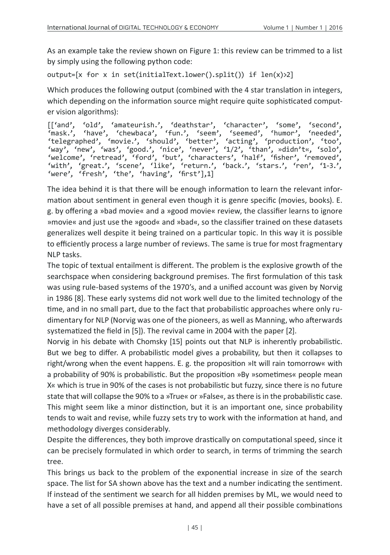As an example take the review shown on Figure 1: this review can be trimmed to a list by simply using the following python code:

output=[x for x in set(initialText.lower().split()) if len(x)>2]

Which produces the following output (combined with the 4 star translation in integers, which depending on the information source might require quite sophisticated computer vision algorithms):

[['and', 'old', 'amateurish.', 'deathstar', 'character', 'some', 'second', 'mask.', 'have', 'chewbaca', 'fun.', 'seem', 'seemed', 'humor', 'needed', 'telegraphed', 'movie.', 'should', 'better', 'acting', 'production', 'too', 'way', 'new', 'was', 'good.', 'nice', 'never', '1/2', 'than', »didn't«, 'solo', 'welcome', 'retread', 'ford', 'but', 'characters', 'half', 'fisher', 'removed', 'with', 'great.', 'scene', 'like', 'return.', 'back.', 'stars.', 'ren', '1-3.', 'were', 'fresh', 'the', 'having', 'first'],1]

The idea behind it is that there will be enough information to learn the relevant information about sentiment in general even though it is genre specific (movies, books). E. g. by offering a »bad movie« and a »good movie« review, the classifier learns to ignore »movie« and just use the »good« and »bad«, so the classifier trained on these datasets generalizes well despite it being trained on a particular topic. In this way it is possible to efficiently process a large number of reviews. The same is true for most fragmentary NLP tasks.

The topic of textual entailment is different. The problem is the explosive growth of the searchspace when considering background premises. The first formulation of this task was using rule-based systems of the 1970's, and a unified account was given by Norvig in 1986 [8]. These early systems did not work well due to the limited technology of the time, and in no small part, due to the fact that probabilistic approaches where only rudimentary for NLP (Norvig was one of the pioneers, as well as Manning, who afterwards systematized the field in [5]). The revival came in 2004 with the paper [2].

Norvig in his debate with Chomsky [15] points out that NLP is inherently probabilistic. But we beg to differ. A probabilistic model gives a probability, but then it collapses to right/wrong when the event happens. E. g. the proposition »It will rain tomorrow« with a probability of 90% is probabilistic. But the proposition »By »sometimes« people mean X« which is true in 90% of the cases is not probabilistic but fuzzy, since there is no future state that will collapse the 90% to a »True« or »False«, as there is in the probabilistic case. This might seem like a minor distinction, but it is an important one, since probability tends to wait and revise, while fuzzy sets try to work with the information at hand, and methodology diverges considerably.

Despite the differences, they both improve drastically on computational speed, since it can be precisely formulated in which order to search, in terms of trimming the search tree.

This brings us back to the problem of the exponential increase in size of the search space. The list for SA shown above has the text and a number indicating the sentiment. If instead of the sentiment we search for all hidden premises by ML, we would need to have a set of all possible premises at hand, and append all their possible combinations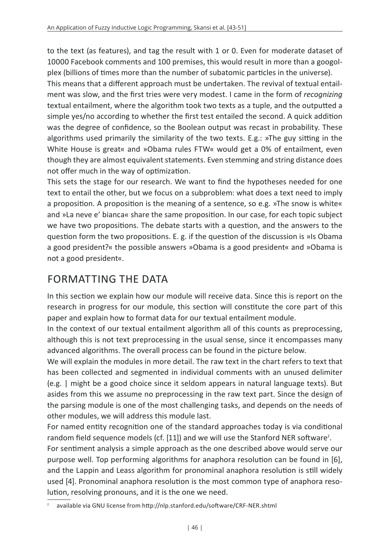to the text (as features), and tag the result with 1 or 0. Even for moderate dataset of 10000 Facebook comments and 100 premises, this would result in more than a googolplex (billions of times more than the number of subatomic particles in the universe).

This means that a different approach must be undertaken. The revival of textual entailment was slow, and the first tries were very modest. I came in the form of *recognizing* textual entailment, where the algorithm took two texts as a tuple, and the outputted a simple yes/no according to whether the first test entailed the second. A quick addition was the degree of confidence, so the Boolean output was recast in probability. These algorithms used primarily the similarity of the two texts. E.g.: »The guy sitting in the White House is great« and »Obama rules FTW« would get a 0% of entailment, even though they are almost equivalent statements. Even stemming and string distance does not offer much in the way of optimization.

This sets the stage for our research. We want to find the hypotheses needed for one text to entail the other, but we focus on a subproblem: what does a text need to imply a proposition. A proposition is the meaning of a sentence, so e.g. »The snow is white« and »La neve e' bianca« share the same proposition. In our case, for each topic subject we have two propositions. The debate starts with a question, and the answers to the question form the two propositions. E. g. if the question of the discussion is »Is Obama a good president?« the possible answers »Obama is a good president« and »Obama is not a good president«.

#### FORMATTING THE DATA

In this section we explain how our module will receive data. Since this is report on the research in progress for our module, this section will constitute the core part of this paper and explain how to format data for our textual entailment module.

In the context of our textual entailment algorithm all of this counts as preprocessing, although this is not text preprocessing in the usual sense, since it encompasses many advanced algorithms. The overall process can be found in the picture below.

We will explain the modules in more detail. The raw text in the chart refers to text that has been collected and segmented in individual comments with an unused delimiter (e.g. | might be a good choice since it seldom appears in natural language texts). But asides from this we assume no preprocessing in the raw text part. Since the design of the parsing module is one of the most challenging tasks, and depends on the needs of other modules, we will address this module last.

For named entity recognition one of the standard approaches today is via conditional random field sequence models (cf. [11]) and we will use the Stanford NER software<sup>2</sup>.

For sentiment analysis a simple approach as the one described above would serve our purpose well. Top performing algorithms for anaphora resolution can be found in [6], and the Lappin and Leass algorithm for pronominal anaphora resolution is still widely used [4]. Pronominal anaphora resolution is the most common type of anaphora resolution, resolving pronouns, and it is the one we need.

available via GNU license from http://nlp.stanford.edu/software/CRF-NER.shtml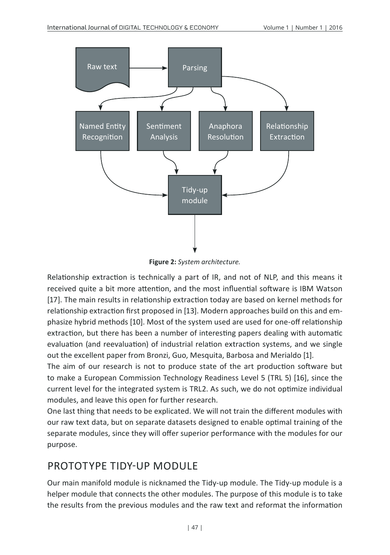

**Figure 2:** *System architecture.*

Relationship extraction is technically a part of IR, and not of NLP, and this means it received quite a bit more attention, and the most influential software is IBM Watson [17]. The main results in relationship extraction today are based on kernel methods for relationship extraction first proposed in [13]. Modern approaches build on this and emphasize hybrid methods [10]. Most of the system used are used for one-off relationship extraction, but there has been a number of interesting papers dealing with automatic evaluation (and reevaluation) of industrial relation extraction systems, and we single out the excellent paper from Bronzi, Guo, Mesquita, Barbosa and Merialdo [1].

The aim of our research is not to produce state of the art production software but to make a European Commission Technology Readiness Level 5 (TRL 5) [16], since the current level for the integrated system is TRL2. As such, we do not optimize individual modules, and leave this open for further research.

One last thing that needs to be explicated. We will not train the different modules with our raw text data, but on separate datasets designed to enable optimal training of the separate modules, since they will offer superior performance with the modules for our purpose.

#### PROTOTYPE TIDY-UP MODULE

Our main manifold module is nicknamed the Tidy-up module. The Tidy-up module is a helper module that connects the other modules. The purpose of this module is to take the results from the previous modules and the raw text and reformat the information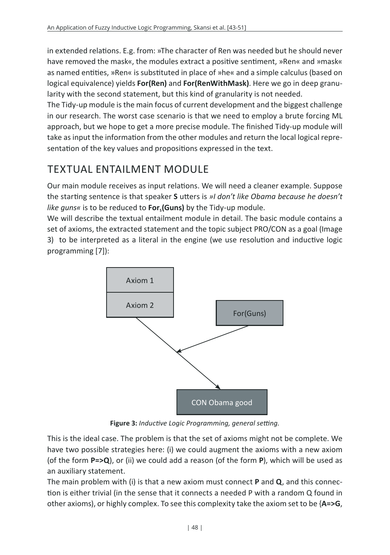in extended relations. E.g. from: »The character of Ren was needed but he should never have removed the mask«, the modules extract a positive sentiment, »Ren« and »mask« as named entities, »Ren« is substituted in place of »he« and a simple calculus (based on logical equivalence) yields **For(Ren)** and **For(RenWithMask)**. Here we go in deep granularity with the second statement, but this kind of granularity is not needed.

The Tidy-up module is the main focus of current development and the biggest challenge in our research. The worst case scenario is that we need to employ a brute forcing ML approach, but we hope to get a more precise module. The finished Tidy-up module will take as input the information from the other modules and return the local logical representation of the key values and propositions expressed in the text.

## TEXTUAL ENTAILMENT MODULE

Our main module receives as input relations. We will need a cleaner example. Suppose the starting sentence is that speaker **S** utters is *»I don't like Obama because he doesn't*  like guns« is to be reduced to **For. (Guns)** by the Tidy-up module.

We will describe the textual entailment module in detail. The basic module contains a set of axioms, the extracted statement and the topic subject PRO/CON as a goal (Image 3) to be interpreted as a literal in the engine (we use resolution and inductive logic programming [7]):



**Figure 3:** *Inductive Logic Programming, general setting.*

This is the ideal case. The problem is that the set of axioms might not be complete. We have two possible strategies here: (i) we could augment the axioms with a new axiom (of the form **P=>Q**), or (ii) we could add a reason (of the form **P**), which will be used as an auxiliary statement.

The main problem with (i) is that a new axiom must connect **P** and **Q**, and this connection is either trivial (in the sense that it connects a needed P with a random Q found in other axioms), or highly complex. To see this complexity take the axiom set to be {**A=>G**,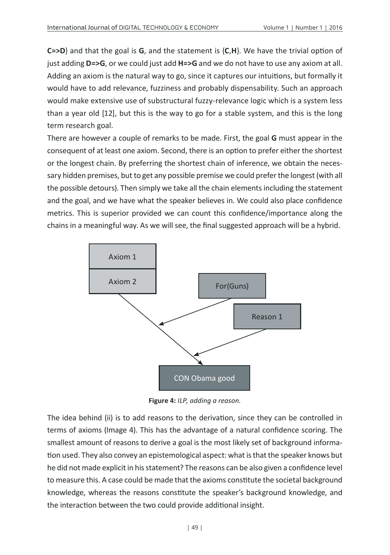**C=>D**} and that the goal is **G**, and the statement is {**C**,**H**}. We have the trivial option of just adding **D=>G**, or we could just add **H=>G** and we do not have to use any axiom at all. Adding an axiom is the natural way to go, since it captures our intuitions, but formally it would have to add relevance, fuzziness and probably dispensability. Such an approach would make extensive use of substructural fuzzy-relevance logic which is a system less than a year old [12], but this is the way to go for a stable system, and this is the long term research goal.

There are however a couple of remarks to be made. First, the goal **G** must appear in the consequent of at least one axiom. Second, there is an option to prefer either the shortest or the longest chain. By preferring the shortest chain of inference, we obtain the necessary hidden premises, but to get any possible premise we could prefer the longest (with all the possible detours). Then simply we take all the chain elements including the statement and the goal, and we have what the speaker believes in. We could also place confidence metrics. This is superior provided we can count this confidence/importance along the chains in a meaningful way. As we will see, the final suggested approach will be a hybrid.



**Figure 4:** *ILP, adding a reason.*

The idea behind (ii) is to add reasons to the derivation, since they can be controlled in terms of axioms (Image 4). This has the advantage of a natural confidence scoring. The smallest amount of reasons to derive a goal is the most likely set of background information used. They also convey an epistemological aspect: what is that the speaker knows but he did not made explicit in his statement? The reasons can be also given a confidence level to measure this. A case could be made that the axioms constitute the societal background knowledge, whereas the reasons constitute the speaker's background knowledge, and the interaction between the two could provide additional insight.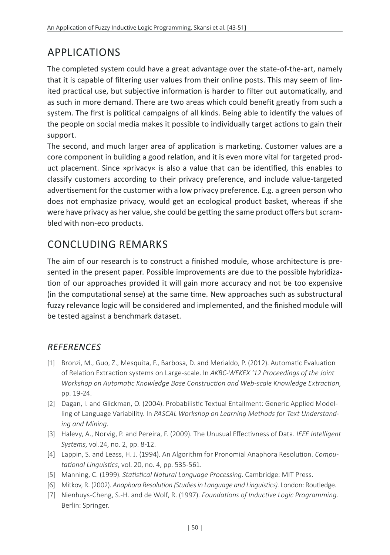# APPLICATIONS

The completed system could have a great advantage over the state-of-the-art, namely that it is capable of filtering user values from their online posts. This may seem of limited practical use, but subjective information is harder to filter out automatically, and as such in more demand. There are two areas which could benefit greatly from such a system. The first is political campaigns of all kinds. Being able to identify the values of the people on social media makes it possible to individually target actions to gain their support.

The second, and much larger area of application is marketing. Customer values are a core component in building a good relation, and it is even more vital for targeted product placement. Since »privacy« is also a value that can be identified, this enables to classify customers according to their privacy preference, and include value-targeted advertisement for the customer with a low privacy preference. E.g. a green person who does not emphasize privacy, would get an ecological product basket, whereas if she were have privacy as her value, she could be getting the same product offers but scrambled with non-eco products.

## CONCLUDING REMARKS

The aim of our research is to construct a finished module, whose architecture is presented in the present paper. Possible improvements are due to the possible hybridization of our approaches provided it will gain more accuracy and not be too expensive (in the computational sense) at the same time. New approaches such as substructural fuzzy relevance logic will be considered and implemented, and the finished module will be tested against a benchmark dataset.

#### *REFERENCES*

- [1] Bronzi, M., Guo, Z., Mesquita, F., Barbosa, D. and Merialdo, P. (2012). Automatic Evaluation of Relation Extraction systems on Large-scale. In *AKBC-WEKEX '12 Proceedings of the Joint Workshop on Automatic Knowledge Base Construction and Web-scale Knowledge Extraction*, pp. 19-24.
- [2] Dagan, I. and Glickman, O. (2004). Probabilistic Textual Entailment: Generic Applied Modelling of Language Variability. In *PASCAL Workshop on Learning Methods for Text Understanding and Mining*.
- [3] Halevy, A., Norvig, P. and Pereira, F. (2009). The Unusual Effectivness of Data. *IEEE Intelligent Systems*, vol.24, no. 2, pp. 8-12.
- [4] Lappin, S. and Leass, H. J. (1994). An Algorithm for Pronomial Anaphora Resolution. *Computational Linguistics*, vol. 20, no. 4, pp. 535-561.
- [5] Manning, C. (1999). *Statistical Natural Language Processing*. Cambridge: MIT Press.
- [6] Mitkov, R. (2002). *Anaphora Resolution (Studies in Language and Linguistics)*. London: Routledge.
- [7] Nienhuys-Cheng, S.-H. and de Wolf, R. (1997). *Foundations of Inductive Logic Programming*. Berlin: Springer.